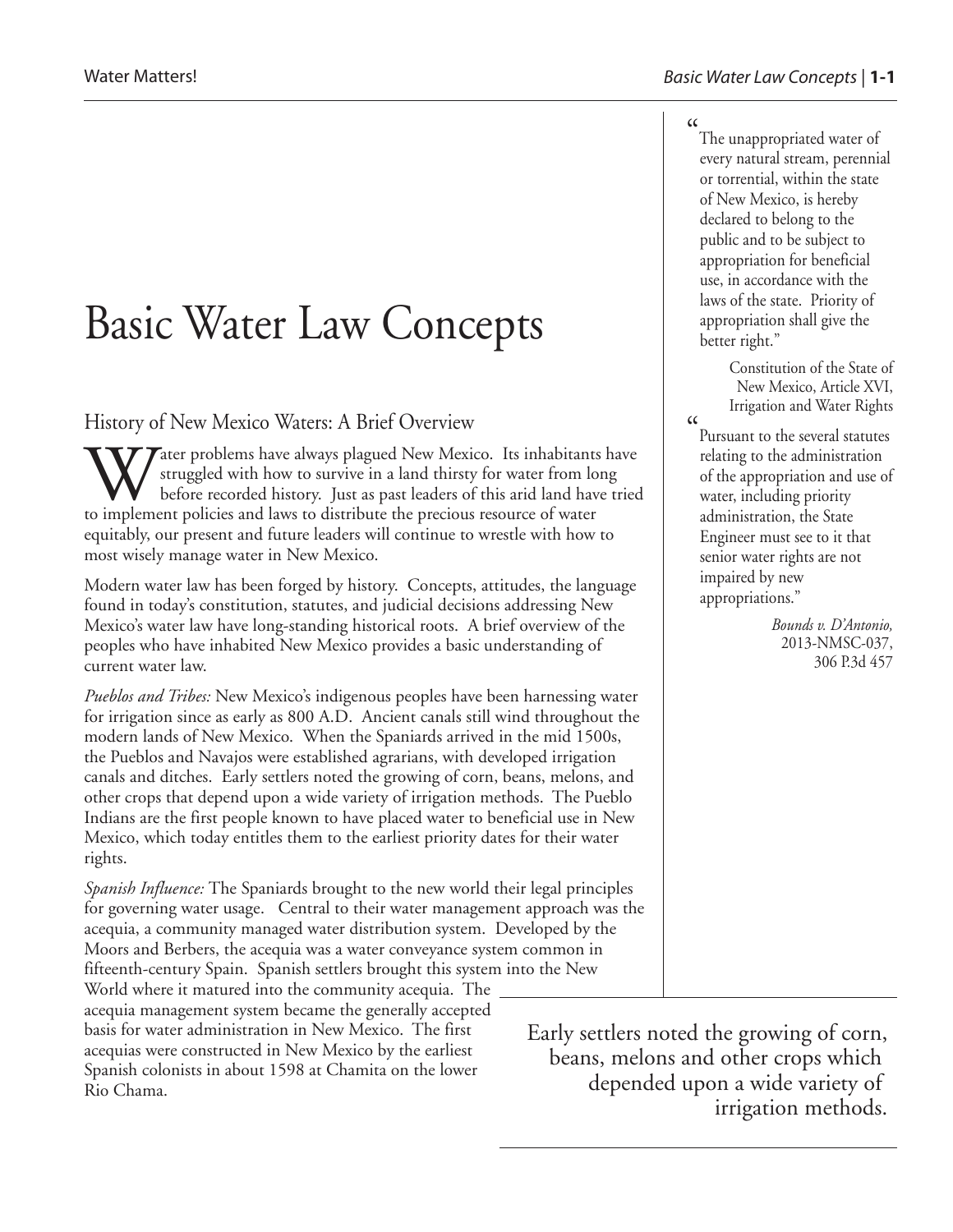## Basic Water Law Concepts

History of New Mexico Waters: A Brief Overview

 $\boldsymbol{T}$ ater problems have always plagued New Mexico. Its inhabitants have struggled with how to survive in a land thirsty for water from long before recorded history. Just as past leaders of this arid land have tried to implement policies and laws to distribute the precious resource of water equitably, our present and future leaders will continue to wrestle with how to most wisely manage water in New Mexico.

Modern water law has been forged by history. Concepts, attitudes, the language found in today's constitution, statutes, and judicial decisions addressing New Mexico's water law have long-standing historical roots. A brief overview of the peoples who have inhabited New Mexico provides a basic understanding of current water law.

*Pueblos and Tribes:* New Mexico's indigenous peoples have been harnessing water for irrigation since as early as 800 A.D. Ancient canals still wind throughout the modern lands of New Mexico. When the Spaniards arrived in the mid 1500s, the Pueblos and Navajos were established agrarians, with developed irrigation canals and ditches. Early settlers noted the growing of corn, beans, melons, and other crops that depend upon a wide variety of irrigation methods. The Pueblo Indians are the first people known to have placed water to beneficial use in New Mexico, which today entitles them to the earliest priority dates for their water rights.

*Spanish Influence:* The Spaniards brought to the new world their legal principles for governing water usage. Central to their water management approach was the acequia, a community managed water distribution system. Developed by the Moors and Berbers, the acequia was a water conveyance system common in fifteenth-century Spain. Spanish settlers brought this system into the New

World where it matured into the community acequia. The acequia management system became the generally accepted basis for water administration in New Mexico. The first acequias were constructed in New Mexico by the earliest Spanish colonists in about 1598 at Chamita on the lower Rio Chama.

 $\epsilon$ The unappropriated water of every natural stream, perennial or torrential, within the state of New Mexico, is hereby declared to belong to the public and to be subject to appropriation for beneficial use, in accordance with the laws of the state. Priority of appropriation shall give the better right."

> Constitution of the State of New Mexico, Article XVI, Irrigation and Water Rights

Pursuant to the several statutes relating to the administration of the appropriation and use of water, including priority administration, the State Engineer must see to it that senior water rights are not impaired by new appropriations."

 $\alpha$ 

*Bounds v. D'Antonio,* 2013-NMSC-037, 306 P.3d 457

Early settlers noted the growing of corn, beans, melons and other crops which depended upon a wide variety of irrigation methods.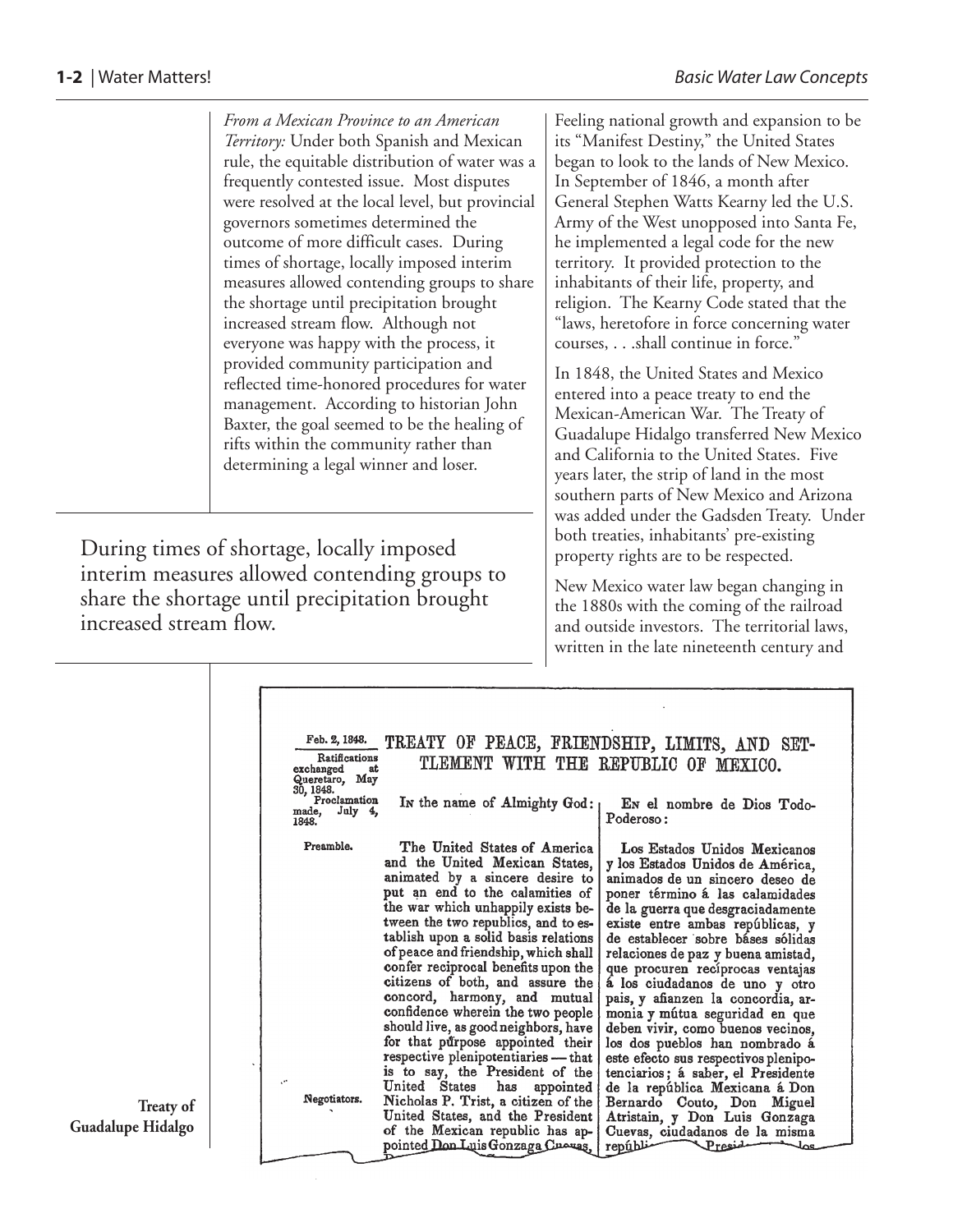*From a Mexican Province to an American Territory:* Under both Spanish and Mexican rule, the equitable distribution of water was a frequently contested issue. Most disputes were resolved at the local level, but provincial governors sometimes determined the outcome of more difficult cases. During times of shortage, locally imposed interim measures allowed contending groups to share the shortage until precipitation brought increased stream flow. Although not everyone was happy with the process, it provided community participation and reflected time-honored procedures for water management. According to historian John Baxter, the goal seemed to be the healing of rifts within the community rather than determining a legal winner and loser.

During times of shortage, locally imposed interim measures allowed contending groups to share the shortage until precipitation brought increased stream flow.

Feeling national growth and expansion to be its "Manifest Destiny," the United States began to look to the lands of New Mexico. In September of 1846, a month after General Stephen Watts Kearny led the U.S. Army of the West unopposed into Santa Fe, he implemented a legal code for the new territory. It provided protection to the inhabitants of their life, property, and religion. The Kearny Code stated that the "laws, heretofore in force concerning water courses, . . .shall continue in force."

In 1848, the United States and Mexico entered into a peace treaty to end the Mexican-American War. The Treaty of Guadalupe Hidalgo transferred New Mexico and California to the United States. Five years later, the strip of land in the most southern parts of New Mexico and Arizona was added under the Gadsden Treaty. Under both treaties, inhabitants' pre-existing property rights are to be respected.

New Mexico water law began changing in the 1880s with the coming of the railroad and outside investors. The territorial laws, written in the late nineteenth century and

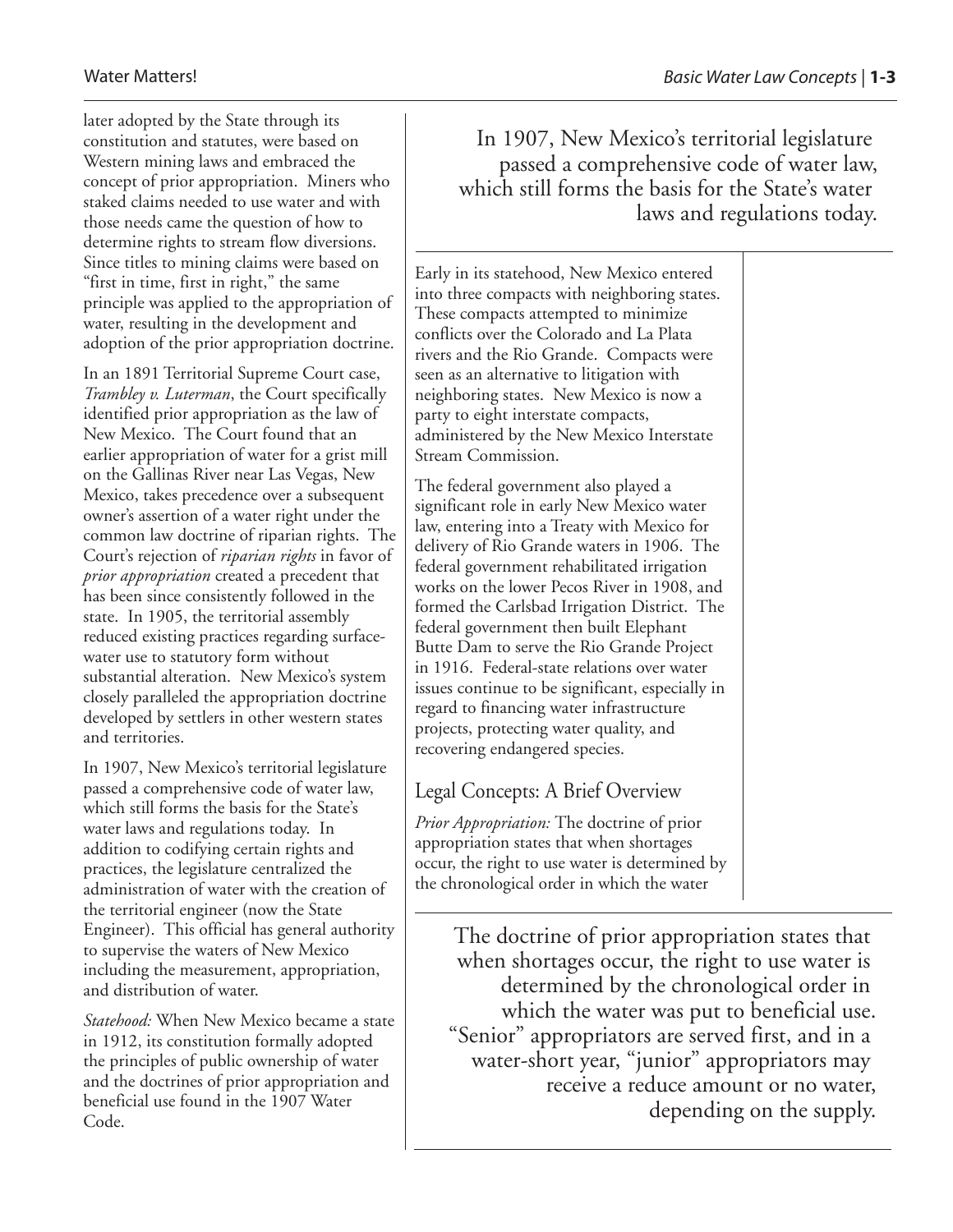later adopted by the State through its constitution and statutes, were based on Western mining laws and embraced the concept of prior appropriation. Miners who staked claims needed to use water and with those needs came the question of how to determine rights to stream flow diversions. Since titles to mining claims were based on "first in time, first in right," the same principle was applied to the appropriation of water, resulting in the development and adoption of the prior appropriation doctrine.

In an 1891 Territorial Supreme Court case, *Trambley v. Luterman*, the Court specifically identified prior appropriation as the law of New Mexico. The Court found that an earlier appropriation of water for a grist mill on the Gallinas River near Las Vegas, New Mexico, takes precedence over a subsequent owner's assertion of a water right under the common law doctrine of riparian rights. The Court's rejection of *riparian rights* in favor of *prior appropriation* created a precedent that has been since consistently followed in the state. In 1905, the territorial assembly reduced existing practices regarding surfacewater use to statutory form without substantial alteration. New Mexico's system closely paralleled the appropriation doctrine developed by settlers in other western states and territories.

In 1907, New Mexico's territorial legislature passed a comprehensive code of water law, which still forms the basis for the State's water laws and regulations today. In addition to codifying certain rights and practices, the legislature centralized the administration of water with the creation of the territorial engineer (now the State Engineer). This official has general authority to supervise the waters of New Mexico including the measurement, appropriation, and distribution of water.

*Statehood:* When New Mexico became a state in 1912, its constitution formally adopted the principles of public ownership of water and the doctrines of prior appropriation and beneficial use found in the 1907 Water Code.

In 1907, New Mexico's territorial legislature passed a comprehensive code of water law, which still forms the basis for the State's water laws and regulations today.

Early in its statehood, New Mexico entered into three compacts with neighboring states. These compacts attempted to minimize conflicts over the Colorado and La Plata rivers and the Rio Grande. Compacts were seen as an alternative to litigation with neighboring states. New Mexico is now a party to eight interstate compacts, administered by the New Mexico Interstate Stream Commission.

The federal government also played a significant role in early New Mexico water law, entering into a Treaty with Mexico for delivery of Rio Grande waters in 1906. The federal government rehabilitated irrigation works on the lower Pecos River in 1908, and formed the Carlsbad Irrigation District. The federal government then built Elephant Butte Dam to serve the Rio Grande Project in 1916. Federal-state relations over water issues continue to be significant, especially in regard to financing water infrastructure projects, protecting water quality, and recovering endangered species.

## Legal Concepts: A Brief Overview

*Prior Appropriation:* The doctrine of prior appropriation states that when shortages occur, the right to use water is determined by the chronological order in which the water

The doctrine of prior appropriation states that when shortages occur, the right to use water is determined by the chronological order in which the water was put to beneficial use. "Senior" appropriators are served first, and in a water-short year, "junior" appropriators may receive a reduce amount or no water, depending on the supply.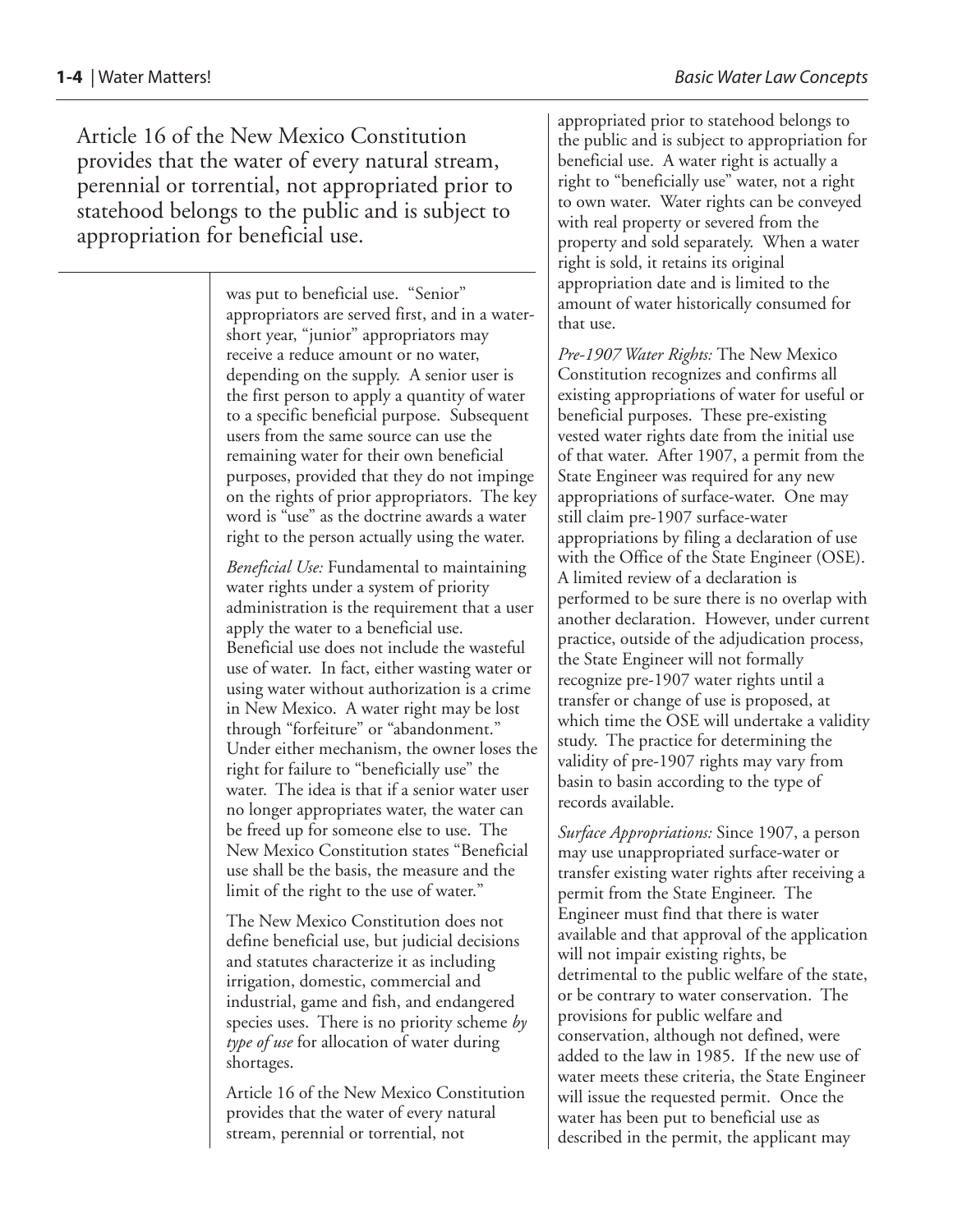Article 16 of the New Mexico Constitution provides that the water of every natural stream, perennial or torrential, not appropriated prior to statehood belongs to the public and is subject to appropriation for beneficial use.

> was put to beneficial use. "Senior" appropriators are served first, and in a watershort year, "junior" appropriators may receive a reduce amount or no water, depending on the supply. A senior user is the first person to apply a quantity of water to a specific beneficial purpose. Subsequent users from the same source can use the remaining water for their own beneficial purposes, provided that they do not impinge on the rights of prior appropriators. The key word is "use" as the doctrine awards a water right to the person actually using the water.

> *Beneficial Use:* Fundamental to maintaining water rights under a system of priority administration is the requirement that a user apply the water to a beneficial use. Beneficial use does not include the wasteful use of water. In fact, either wasting water or using water without authorization is a crime in New Mexico. A water right may be lost through "forfeiture" or "abandonment." Under either mechanism, the owner loses the right for failure to "beneficially use" the water. The idea is that if a senior water user no longer appropriates water, the water can be freed up for someone else to use. The New Mexico Constitution states "Beneficial use shall be the basis, the measure and the limit of the right to the use of water."

The New Mexico Constitution does not define beneficial use, but judicial decisions and statutes characterize it as including irrigation, domestic, commercial and industrial, game and fish, and endangered species uses. There is no priority scheme *by type of use* for allocation of water during shortages.

Article 16 of the New Mexico Constitution provides that the water of every natural stream, perennial or torrential, not

appropriated prior to statehood belongs to the public and is subject to appropriation for beneficial use. A water right is actually a right to "beneficially use" water, not a right to own water. Water rights can be conveyed with real property or severed from the property and sold separately. When a water right is sold, it retains its original appropriation date and is limited to the amount of water historically consumed for that use.

*Pre-1907 Water Rights:* The New Mexico Constitution recognizes and confirms all existing appropriations of water for useful or beneficial purposes. These pre-existing vested water rights date from the initial use of that water. After 1907, a permit from the State Engineer was required for any new appropriations of surface-water. One may still claim pre-1907 surface-water appropriations by filing a declaration of use with the Office of the State Engineer (OSE). A limited review of a declaration is performed to be sure there is no overlap with another declaration. However, under current practice, outside of the adjudication process, the State Engineer will not formally recognize pre-1907 water rights until a transfer or change of use is proposed, at which time the OSE will undertake a validity study. The practice for determining the validity of pre-1907 rights may vary from basin to basin according to the type of records available.

*Surface Appropriations:* Since 1907, a person may use unappropriated surface-water or transfer existing water rights after receiving a permit from the State Engineer. The Engineer must find that there is water available and that approval of the application will not impair existing rights, be detrimental to the public welfare of the state, or be contrary to water conservation. The provisions for public welfare and conservation, although not defined, were added to the law in 1985. If the new use of water meets these criteria, the State Engineer will issue the requested permit. Once the water has been put to beneficial use as described in the permit, the applicant may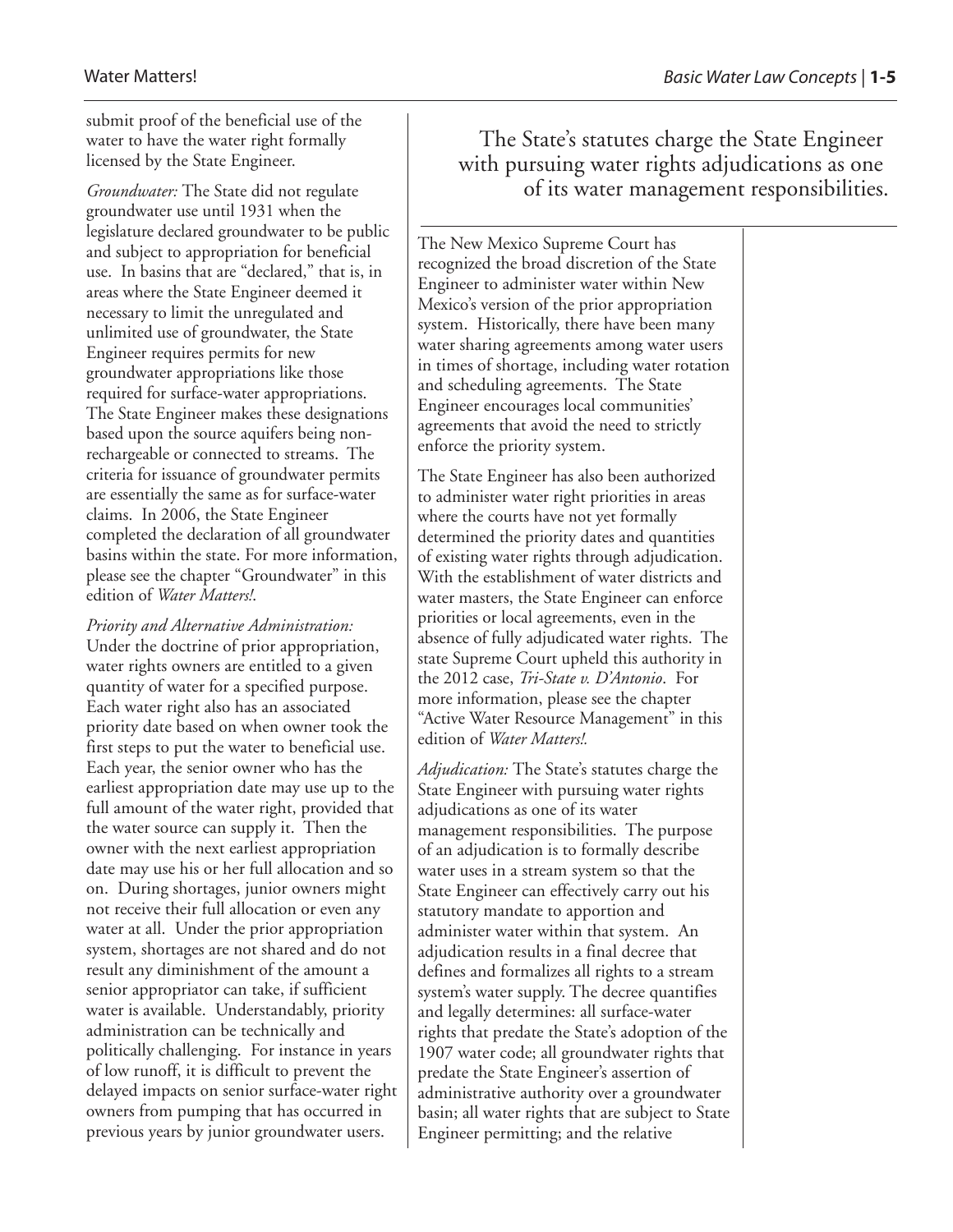submit proof of the beneficial use of the water to have the water right formally licensed by the State Engineer.

*Groundwater:* The State did not regulate groundwater use until 1931 when the legislature declared groundwater to be public and subject to appropriation for beneficial use. In basins that are "declared," that is, in areas where the State Engineer deemed it necessary to limit the unregulated and unlimited use of groundwater, the State Engineer requires permits for new groundwater appropriations like those required for surface-water appropriations. The State Engineer makes these designations based upon the source aquifers being nonrechargeable or connected to streams. The criteria for issuance of groundwater permits are essentially the same as for surface-water claims. In 2006, the State Engineer completed the declaration of all groundwater basins within the state. For more information, please see the chapter "Groundwater" in this edition of *Water Matters!*.

*Priority and Alternative Administration:* Under the doctrine of prior appropriation, water rights owners are entitled to a given quantity of water for a specified purpose. Each water right also has an associated priority date based on when owner took the first steps to put the water to beneficial use. Each year, the senior owner who has the earliest appropriation date may use up to the full amount of the water right, provided that the water source can supply it. Then the owner with the next earliest appropriation date may use his or her full allocation and so on. During shortages, junior owners might not receive their full allocation or even any water at all. Under the prior appropriation system, shortages are not shared and do not result any diminishment of the amount a senior appropriator can take, if sufficient water is available. Understandably, priority administration can be technically and politically challenging. For instance in years of low runoff, it is difficult to prevent the delayed impacts on senior surface-water right owners from pumping that has occurred in previous years by junior groundwater users.

The State's statutes charge the State Engineer with pursuing water rights adjudications as one of its water management responsibilities.

The New Mexico Supreme Court has recognized the broad discretion of the State Engineer to administer water within New Mexico's version of the prior appropriation system. Historically, there have been many water sharing agreements among water users in times of shortage, including water rotation and scheduling agreements. The State Engineer encourages local communities' agreements that avoid the need to strictly enforce the priority system.

The State Engineer has also been authorized to administer water right priorities in areas where the courts have not yet formally determined the priority dates and quantities of existing water rights through adjudication. With the establishment of water districts and water masters, the State Engineer can enforce priorities or local agreements, even in the absence of fully adjudicated water rights. The state Supreme Court upheld this authority in the 2012 case, *Tri-State v. D'Antonio*. For more information, please see the chapter "Active Water Resource Management" in this edition of *Water Matters!.*

*Adjudication:* The State's statutes charge the State Engineer with pursuing water rights adjudications as one of its water management responsibilities. The purpose of an adjudication is to formally describe water uses in a stream system so that the State Engineer can effectively carry out his statutory mandate to apportion and administer water within that system. An adjudication results in a final decree that defines and formalizes all rights to a stream system's water supply. The decree quantifies and legally determines: all surface-water rights that predate the State's adoption of the 1907 water code; all groundwater rights that predate the State Engineer's assertion of administrative authority over a groundwater basin; all water rights that are subject to State Engineer permitting; and the relative